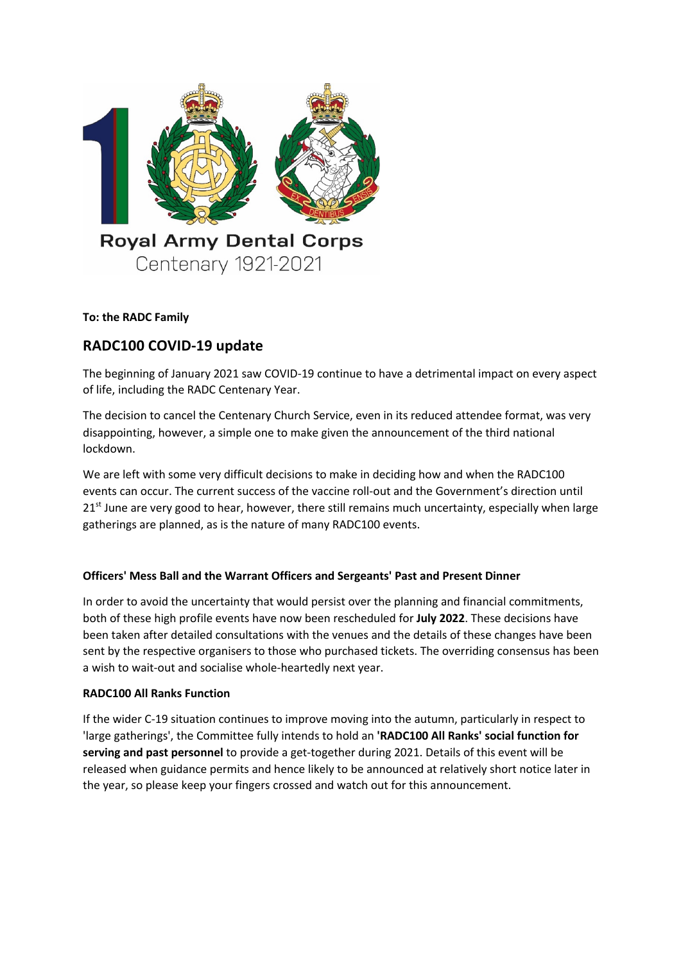

**To: the RADC Family**

# **RADC100 COVID-19 update**

The beginning of January 2021 saw COVID-19 continue to have a detrimental impact on every aspect of life, including the RADC Centenary Year.

The decision to cancel the Centenary Church Service, even in its reduced attendee format, was very disappointing, however, a simple one to make given the announcement of the third national lockdown.

We are left with some very difficult decisions to make in deciding how and when the RADC100 events can occur. The current success of the vaccine roll-out and the Government's direction until  $21<sup>st</sup>$  June are very good to hear, however, there still remains much uncertainty, especially when large gatherings are planned, as is the nature of many RADC100 events.

# **Officers' Mess Ball and the Warrant Officers and Sergeants' Past and Present Dinner**

In order to avoid the uncertainty that would persist over the planning and financial commitments, both of these high profile events have now been rescheduled for **July 2022**. These decisions have been taken after detailed consultations with the venues and the details of these changes have been sent by the respective organisers to those who purchased tickets. The overriding consensus has been a wish to wait-out and socialise whole-heartedly next year.

# **RADC100 All Ranks Function**

If the wider C-19 situation continues to improve moving into the autumn, particularly in respect to 'large gatherings', the Committee fully intends to hold an **'RADC100 All Ranks' social function for serving and past personnel** to provide a get-together during 2021. Details of this event will be released when guidance permits and hence likely to be announced at relatively short notice later in the year, so please keep your fingers crossed and watch out for this announcement.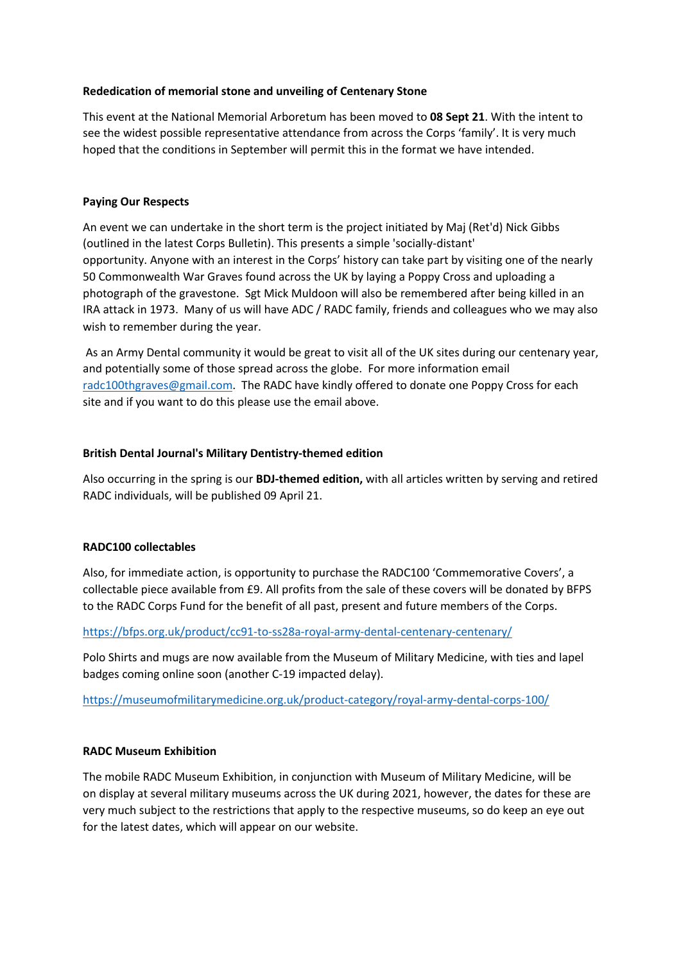#### **Rededication of memorial stone and unveiling of Centenary Stone**

This event at the National Memorial Arboretum has been moved to **08 Sept 21**. With the intent to see the widest possible representative attendance from across the Corps 'family'. It is very much hoped that the conditions in September will permit this in the format we have intended.

## **Paying Our Respects**

An event we can undertake in the short term is the project initiated by Maj (Ret'd) Nick Gibbs (outlined in the latest Corps Bulletin). This presents a simple 'socially-distant' opportunity. Anyone with an interest in the Corps' history can take part by visiting one of the nearly 50 Commonwealth War Graves found across the UK by laying a Poppy Cross and uploading a photograph of the gravestone. Sgt Mick Muldoon will also be remembered after being killed in an IRA attack in 1973. Many of us will have ADC / RADC family, friends and colleagues who we may also wish to remember during the year.

As an Army Dental community it would be great to visit all of the UK sites during our centenary year, and potentially some of those spread across the globe. For more information email radc100thgraves@gmail.com. The RADC have kindly offered to donate one Poppy Cross for each site and if you want to do this please use the email above.

## **British Dental Journal's Military Dentistry-themed edition**

Also occurring in the spring is our **BDJ-themed edition,** with all articles written by serving and retired RADC individuals, will be published 09 April 21.

# **RADC100 collectables**

Also, for immediate action, is opportunity to purchase the RADC100 'Commemorative Covers', a collectable piece available from £9. All profits from the sale of these covers will be donated by BFPS to the RADC Corps Fund for the benefit of all past, present and future members of the Corps.

#### https://bfps.org.uk/product/cc91-to-ss28a-royal-army-dental-centenary-centenary/

Polo Shirts and mugs are now available from the Museum of Military Medicine, with ties and lapel badges coming online soon (another C-19 impacted delay).

https://museumofmilitarymedicine.org.uk/product-category/royal-army-dental-corps-100/

#### **RADC Museum Exhibition**

The mobile RADC Museum Exhibition, in conjunction with Museum of Military Medicine, will be on display at several military museums across the UK during 2021, however, the dates for these are very much subject to the restrictions that apply to the respective museums, so do keep an eye out for the latest dates, which will appear on our website.